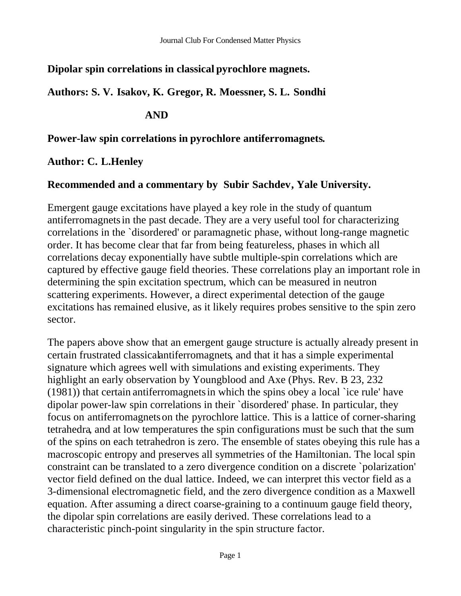## **Dipolar spin correlations in classical pyrochlore magnets.**

**Authors: S. V. Isakov, K. Gregor, R. Moessner, S. L. Sondhi**

# **AND**

#### **Power-law spin correlations in pyrochlore antiferromagnets.**

## **Author: C. L.Henley**

## **Recommended and a commentary by Subir Sachdev, Yale University.**

Emergent gauge excitations have played a key role in the study of quantum antiferromagnetsin the past decade. They are a very useful tool for characterizing correlations in the `disordered' or paramagnetic phase, without long-range magnetic order. It has become clear that far from being featureless, phases in which all correlations decay exponentially have subtle multiple-spin correlations which are captured by effective gauge field theories. These correlations play an important role in determining the spin excitation spectrum, which can be measured in neutron scattering experiments. However, a direct experimental detection of the gauge excitations has remained elusive, as it likely requires probes sensitive to the spin zero sector.

The papers above show that an emergent gauge structure is actually already present in certain frustrated classicalantiferromagnets, and that it has a simple experimental signature which agrees well with simulations and existing experiments. They highlight an early observation by Youngblood and Axe (Phys. Rev. B 23, 232 (1981)) that certain antiferromagnetsin which the spins obey a local `ice rule' have dipolar power-law spin correlations in their `disordered' phase. In particular, they focus on antiferromagnetson the pyrochlore lattice. This is a lattice of corner-sharing tetrahedra, and at low temperatures the spin configurations must be such that the sum of the spins on each tetrahedron is zero. The ensemble of states obeying this rule has a macroscopic entropy and preserves all symmetries of the Hamiltonian. The local spin constraint can be translated to a zero divergence condition on a discrete `polarization' vector field defined on the dual lattice. Indeed, we can interpret this vector field as a 3-dimensional electromagnetic field, and the zero divergence condition as a Maxwell equation. After assuming a direct coarse-graining to a continuum gauge field theory, the dipolar spin correlations are easily derived. These correlations lead to a characteristic pinch-point singularity in the spin structure factor.